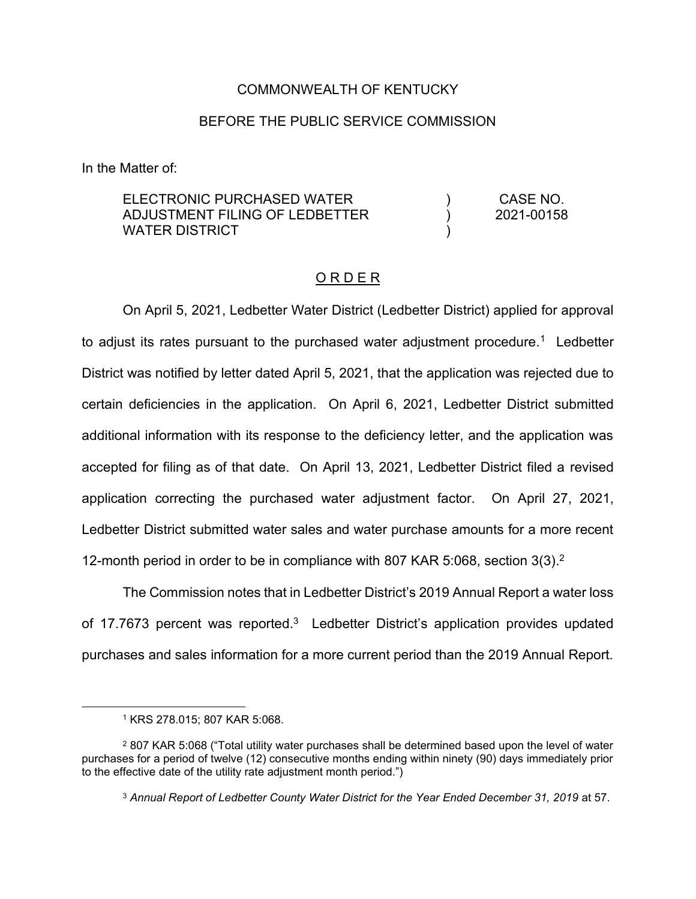### COMMONWEALTH OF KENTUCKY

### BEFORE THE PUBLIC SERVICE COMMISSION

In the Matter of:

| ELECTRONIC PURCHASED WATER     | CASE NO.   |
|--------------------------------|------------|
| ADJUSTMENT FILING OF LEDBETTER | 2021-00158 |
| WATER DISTRICT                 |            |

#### O R D E R

On April 5, 2021, Ledbetter Water District (Ledbetter District) applied for approval to adjust its rates pursuant to the purchased water adjustment procedure.<sup>1</sup> Ledbetter District was notified by letter dated April 5, 2021, that the application was rejected due to certain deficiencies in the application. On April 6, 2021, Ledbetter District submitted additional information with its response to the deficiency letter, and the application was accepted for filing as of that date. On April 13, 2021, Ledbetter District filed a revised application correcting the purchased water adjustment factor. On April 27, 2021, Ledbetter District submitted water sales and water purchase amounts for a more recent 12-month period in order to be in compliance with 807 KAR 5:068, section 3(3). 2

The Commission notes that in Ledbetter District's 2019 Annual Report a water loss of 17.7673 percent was reported.<sup>3</sup> Ledbetter District's application provides updated purchases and sales information for a more current period than the 2019 Annual Report.

<sup>1</sup> KRS 278.015; 807 KAR 5:068.

<sup>2</sup> 807 KAR 5:068 ("Total utility water purchases shall be determined based upon the level of water purchases for a period of twelve (12) consecutive months ending within ninety (90) days immediately prior to the effective date of the utility rate adjustment month period.")

<sup>3</sup> *Annual Report of Ledbetter County Water District for the Year Ended December 31, 2019* at 57.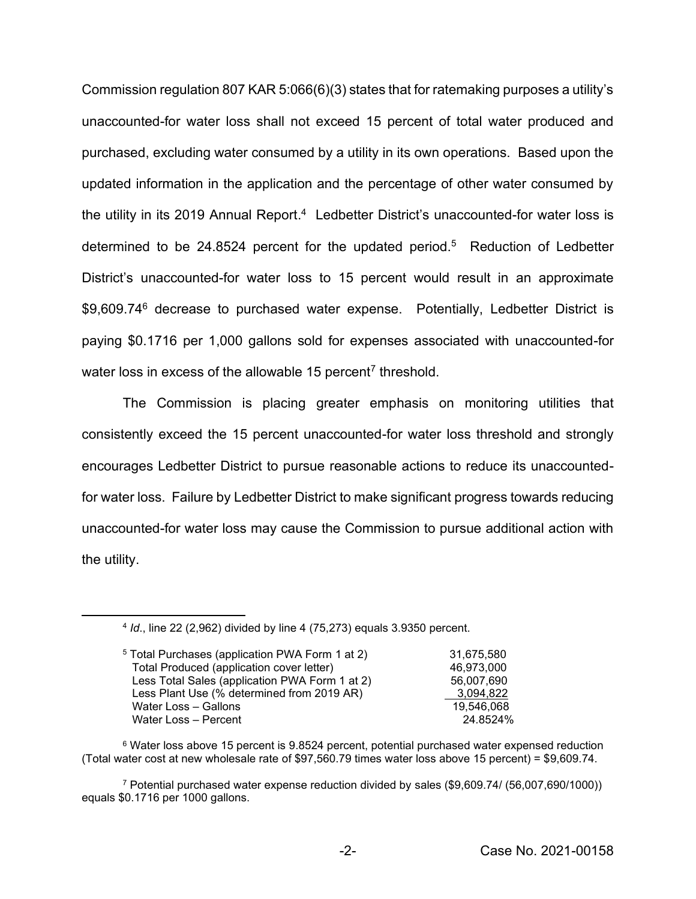Commission regulation 807 KAR 5:066(6)(3) states that for ratemaking purposes a utility's unaccounted-for water loss shall not exceed 15 percent of total water produced and purchased, excluding water consumed by a utility in its own operations. Based upon the updated information in the application and the percentage of other water consumed by the utility in its 2019 Annual Report.<sup>4</sup> Ledbetter District's unaccounted-for water loss is determined to be 24.8524 percent for the updated period.<sup>5</sup> Reduction of Ledbetter District's unaccounted-for water loss to 15 percent would result in an approximate \$9,609.74<sup>6</sup> decrease to purchased water expense. Potentially, Ledbetter District is paying \$0.1716 per 1,000 gallons sold for expenses associated with unaccounted-for water loss in excess of the allowable 15 percent<sup>7</sup> threshold.

The Commission is placing greater emphasis on monitoring utilities that consistently exceed the 15 percent unaccounted-for water loss threshold and strongly encourages Ledbetter District to pursue reasonable actions to reduce its unaccountedfor water loss. Failure by Ledbetter District to make significant progress towards reducing unaccounted-for water loss may cause the Commission to pursue additional action with the utility.

<sup>4</sup> *Id*., line 22 (2,962) divided by line 4 (75,273) equals 3.9350 percent.

| <sup>5</sup> Total Purchases (application PWA Form 1 at 2) | 31.675.580 |
|------------------------------------------------------------|------------|
| Total Produced (application cover letter)                  | 46,973,000 |
| Less Total Sales (application PWA Form 1 at 2)             | 56,007,690 |
| Less Plant Use (% determined from 2019 AR)                 | 3.094.822  |
| Water Loss - Gallons                                       | 19.546.068 |
| Water Loss - Percent                                       | 24.8524%   |

<sup>6</sup> Water loss above 15 percent is 9.8524 percent, potential purchased water expensed reduction (Total water cost at new wholesale rate of \$97,560.79 times water loss above 15 percent) = \$9,609.74.

<sup>7</sup> Potential purchased water expense reduction divided by sales (\$9,609.74/ (56,007,690/1000)) equals \$0.1716 per 1000 gallons.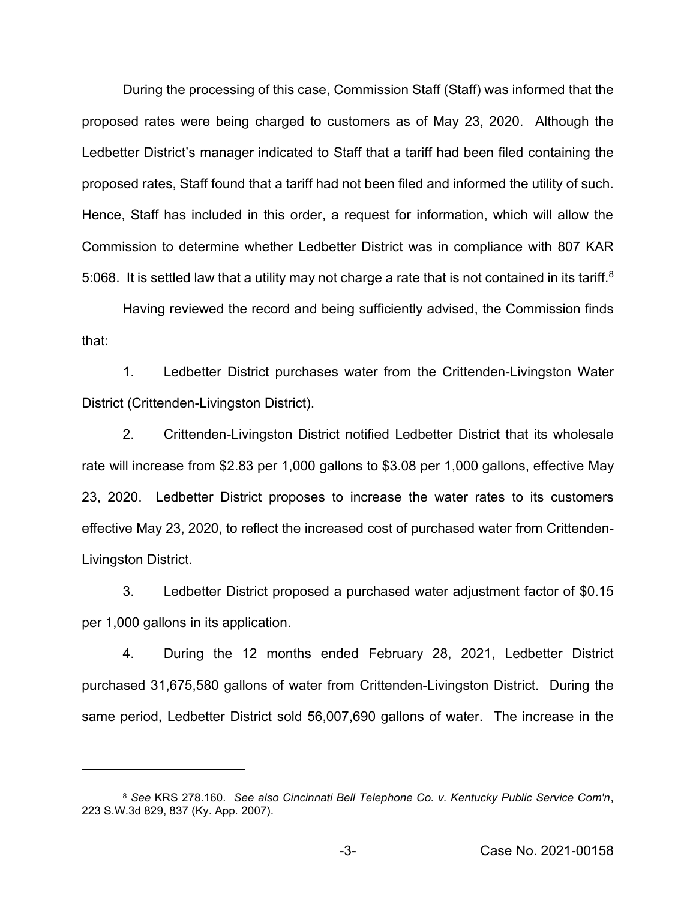During the processing of this case, Commission Staff (Staff) was informed that the proposed rates were being charged to customers as of May 23, 2020. Although the Ledbetter District's manager indicated to Staff that a tariff had been filed containing the proposed rates, Staff found that a tariff had not been filed and informed the utility of such. Hence, Staff has included in this order, a request for information, which will allow the Commission to determine whether Ledbetter District was in compliance with 807 KAR 5:068. It is settled law that a utility may not charge a rate that is not contained in its tariff.<sup>8</sup>

Having reviewed the record and being sufficiently advised, the Commission finds that:

1. Ledbetter District purchases water from the Crittenden-Livingston Water District (Crittenden-Livingston District).

2. Crittenden-Livingston District notified Ledbetter District that its wholesale rate will increase from \$2.83 per 1,000 gallons to \$3.08 per 1,000 gallons, effective May 23, 2020. Ledbetter District proposes to increase the water rates to its customers effective May 23, 2020, to reflect the increased cost of purchased water from Crittenden-Livingston District.

3. Ledbetter District proposed a purchased water adjustment factor of \$0.15 per 1,000 gallons in its application.

4. During the 12 months ended February 28, 2021, Ledbetter District purchased 31,675,580 gallons of water from Crittenden-Livingston District. During the same period, Ledbetter District sold 56,007,690 gallons of water. The increase in the

<sup>8</sup> *See* KRS 278.160*. See also Cincinnati Bell Telephone Co. v. Kentucky Public Service Com'n*, 223 S.W.3d 829, 837 (Ky. App. 2007).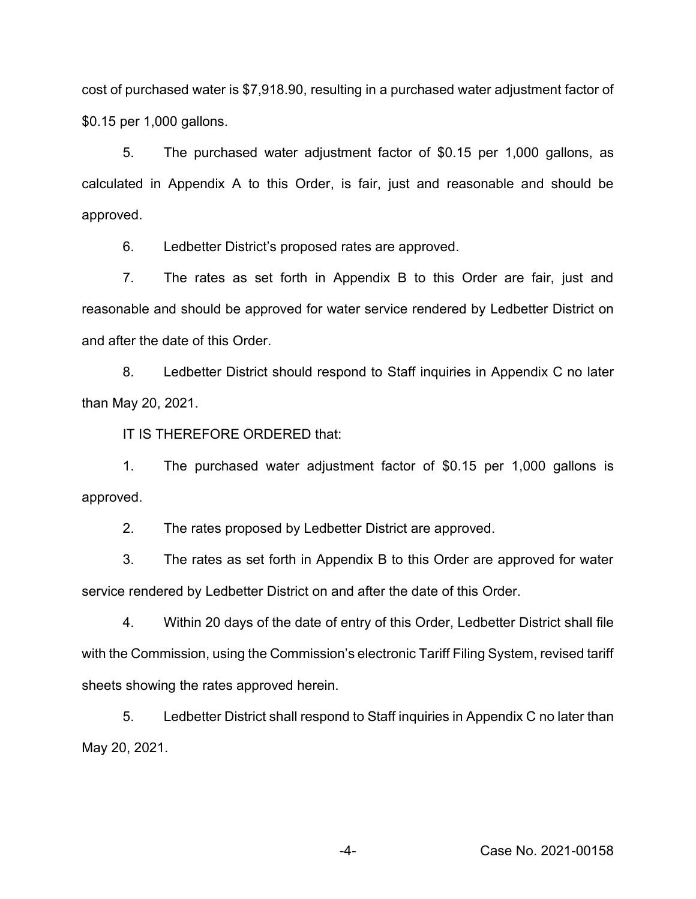cost of purchased water is \$7,918.90, resulting in a purchased water adjustment factor of \$0.15 per 1,000 gallons.

5. The purchased water adjustment factor of \$0.15 per 1,000 gallons, as calculated in Appendix A to this Order, is fair, just and reasonable and should be approved.

6. Ledbetter District's proposed rates are approved.

7. The rates as set forth in Appendix B to this Order are fair, just and reasonable and should be approved for water service rendered by Ledbetter District on and after the date of this Order.

8. Ledbetter District should respond to Staff inquiries in Appendix C no later than May 20, 2021.

IT IS THEREFORE ORDERED that:

1. The purchased water adjustment factor of \$0.15 per 1,000 gallons is approved.

2. The rates proposed by Ledbetter District are approved.

3. The rates as set forth in Appendix B to this Order are approved for water service rendered by Ledbetter District on and after the date of this Order.

4. Within 20 days of the date of entry of this Order, Ledbetter District shall file with the Commission, using the Commission's electronic Tariff Filing System, revised tariff sheets showing the rates approved herein.

5. Ledbetter District shall respond to Staff inquiries in Appendix C no later than May 20, 2021.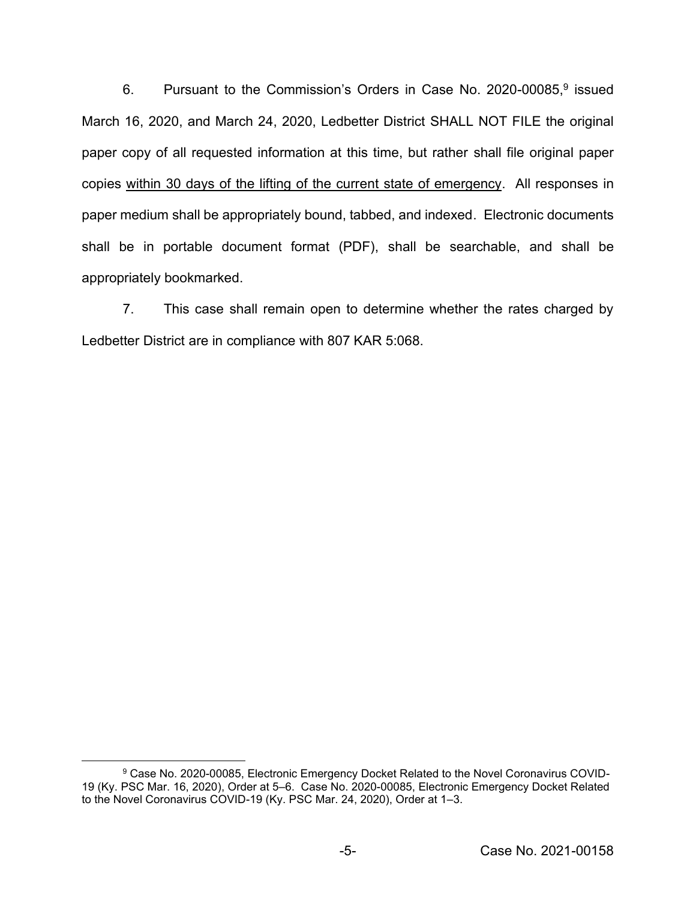6. Pursuant to the Commission's Orders in Case No. 2020-00085,9 issued March 16, 2020, and March 24, 2020, Ledbetter District SHALL NOT FILE the original paper copy of all requested information at this time, but rather shall file original paper copies within 30 days of the lifting of the current state of emergency. All responses in paper medium shall be appropriately bound, tabbed, and indexed. Electronic documents shall be in portable document format (PDF), shall be searchable, and shall be appropriately bookmarked.

7. This case shall remain open to determine whether the rates charged by Ledbetter District are in compliance with 807 KAR 5:068.

<sup>9</sup> Case No. 2020-00085, Electronic Emergency Docket Related to the Novel Coronavirus COVID-19 (Ky. PSC Mar. 16, 2020), Order at 5–6. Case No. 2020-00085, Electronic Emergency Docket Related to the Novel Coronavirus COVID-19 (Ky. PSC Mar. 24, 2020), Order at 1–3.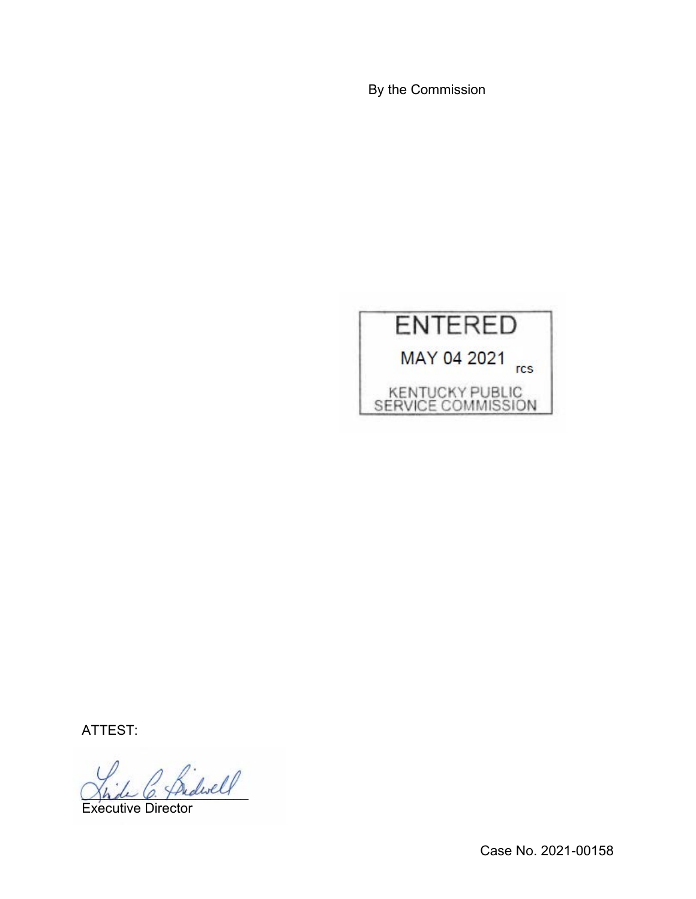By the Commission



ATTEST:

Indwell

Executive Director

Case No. 2021-00158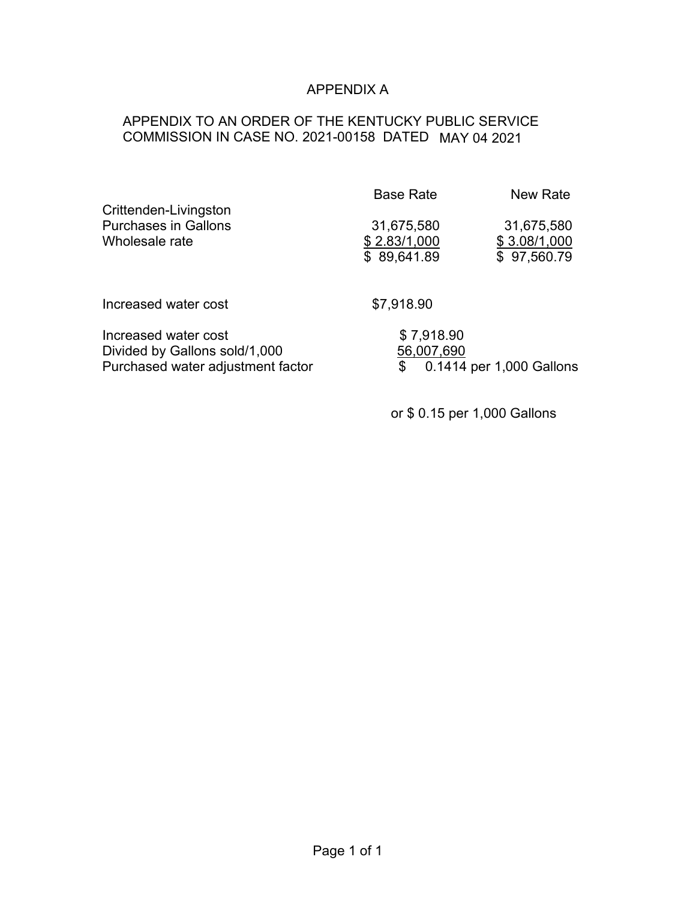# APPENDIX A

# APPENDIX TO AN ORDER OF THE KENTUCKY PUBLIC SERVICE COMMISSION IN CASE NO. 2021-00158 DATED MAY 04 2021

|                                                                                            | <b>Base Rate</b>                          | New Rate                                  |
|--------------------------------------------------------------------------------------------|-------------------------------------------|-------------------------------------------|
| Crittenden-Livingston<br><b>Purchases in Gallons</b><br>Wholesale rate                     | 31,675,580<br>\$2.83/1,000<br>\$89,641.89 | 31,675,580<br>\$3.08/1,000<br>\$97,560.79 |
| Increased water cost                                                                       | \$7,918.90                                |                                           |
| Increased water cost<br>Divided by Gallons sold/1,000<br>Purchased water adjustment factor | \$7,918.90<br>56,007,690<br>\$            | 0.1414 per 1,000 Gallons                  |

or \$ 0.15 per 1,000 Gallons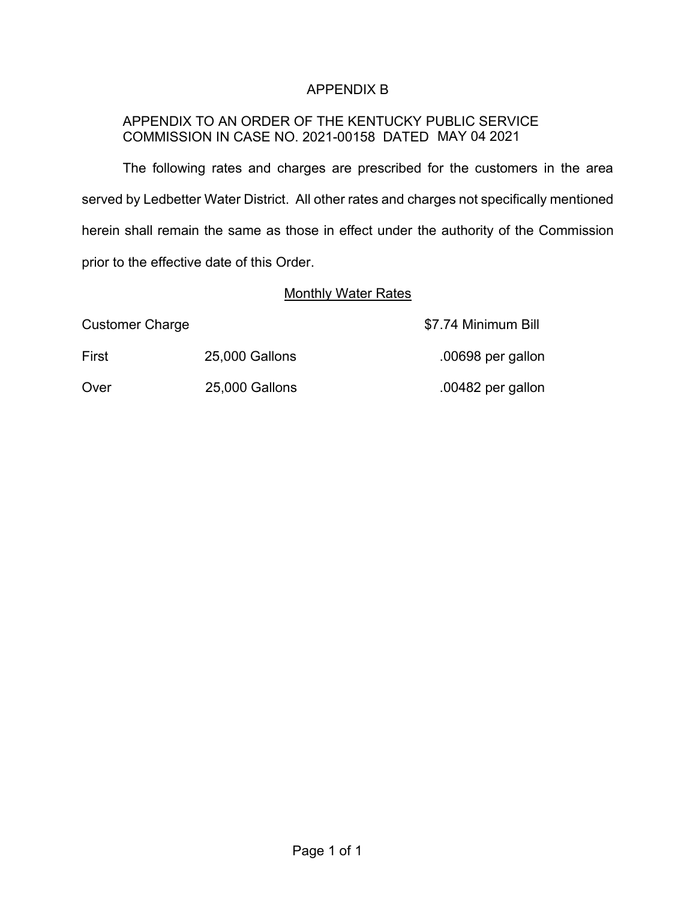## APPENDIX B

## APPENDIX TO AN ORDER OF THE KENTUCKY PUBLIC SERVICE COMMISSION IN CASE NO. 2021-00158 DATED MAY 04 2021

The following rates and charges are prescribed for the customers in the area served by Ledbetter Water District. All other rates and charges not specifically mentioned herein shall remain the same as those in effect under the authority of the Commission prior to the effective date of this Order.

### Monthly Water Rates

Customer Charge **\$7.74 Minimum Bill** 

First 25,000 Gallons .00698 per gallon

Over 25,000 Gallons .00482 per gallon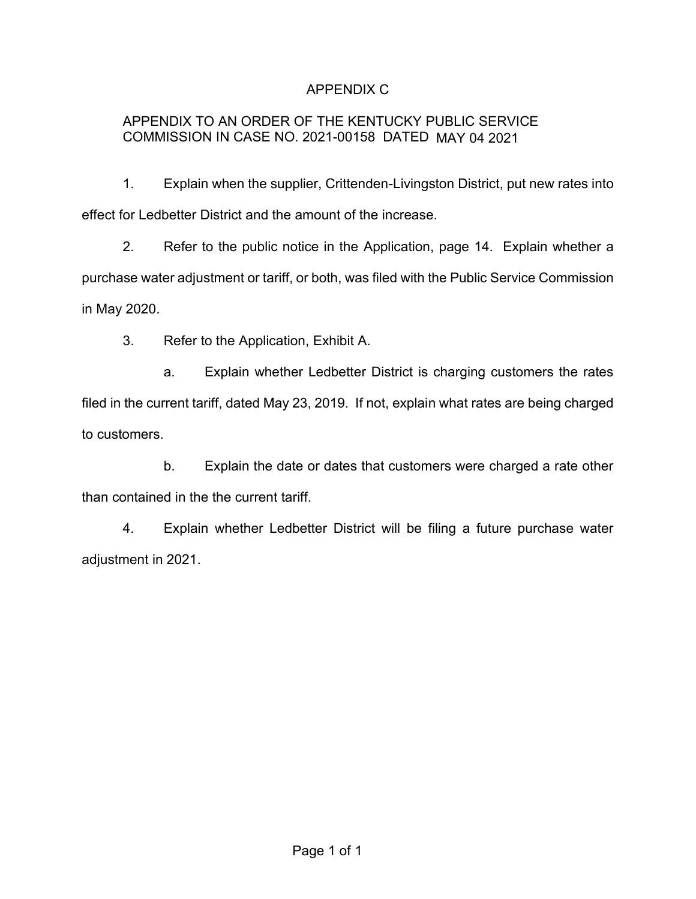## APPENDIX C

## APPENDIX TO AN ORDER OF THE KENTUCKY PUBLIC SERVICE COMMISSION IN CASE NO. 2021-00158 DATED MAY 04 2021

1. Explain when the supplier, Crittenden-Livingston District, put new rates into effect for Ledbetter District and the amount of the increase.

2. Refer to the public notice in the Application, page 14. Explain whether a purchase water adjustment or tariff, or both, was filed with the Public Service Commission in May 2020.

3. Refer to the Application, Exhibit A.

a. Explain whether Ledbetter District is charging customers the rates filed in the current tariff, dated May 23, 2019. If not, explain what rates are being charged to customers.

b. Explain the date or dates that customers were charged a rate other than contained in the the current tariff.

4. Explain whether Ledbetter District will be filing a future purchase water adjustment in 2021.